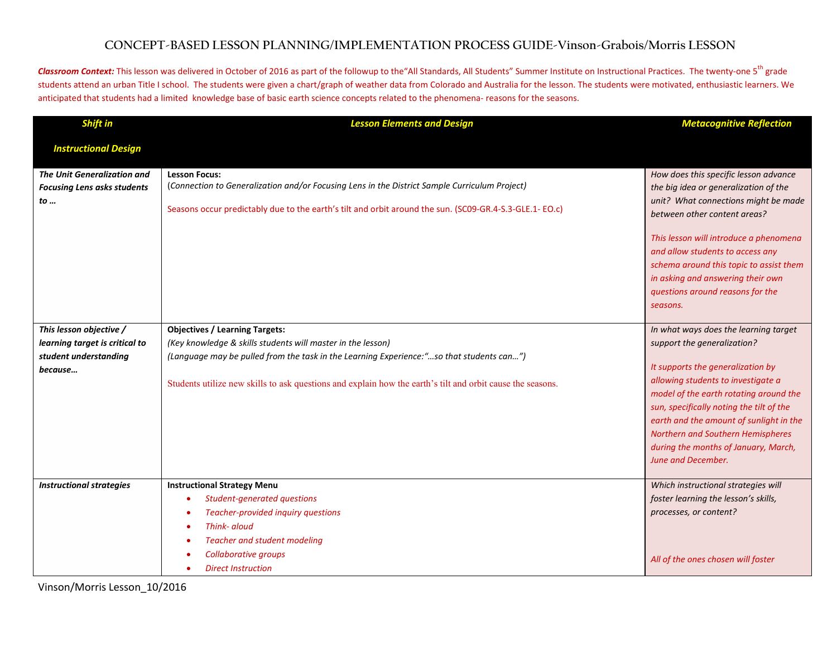## **CONCEPT-BASED LESSON PLANNING/IMPLEMENTATION PROCESS GUIDE-Vinson-Grabois/Morris LESSON**

Classroom Context: This lesson was delivered in October of 2016 as part of the followup to the "All Standards, All Students" Summer Institute on Instructional Practices. The twenty-one 5<sup>th</sup> grade students attend an urban Title I school. The students were given a chart/graph of weather data from Colorado and Australia for the lesson. The students were motivated, enthusiastic learners. We anticipated that students had a limited knowledge base of basic earth science concepts related to the phenomena- reasons for the seasons.

| Shift in                                                                                      | <b>Lesson Elements and Design</b>                                                                                                                                                                                                                                                                              | <b>Metacognitive Reflection</b>                                                                                                                                                                                                                                                                                                                                                     |
|-----------------------------------------------------------------------------------------------|----------------------------------------------------------------------------------------------------------------------------------------------------------------------------------------------------------------------------------------------------------------------------------------------------------------|-------------------------------------------------------------------------------------------------------------------------------------------------------------------------------------------------------------------------------------------------------------------------------------------------------------------------------------------------------------------------------------|
| <b>Instructional Design</b>                                                                   |                                                                                                                                                                                                                                                                                                                |                                                                                                                                                                                                                                                                                                                                                                                     |
| <b>The Unit Generalization and</b><br><b>Focusing Lens asks students</b><br>to                | <b>Lesson Focus:</b><br>(Connection to Generalization and/or Focusing Lens in the District Sample Curriculum Project)<br>Seasons occur predictably due to the earth's tilt and orbit around the sun. (SC09-GR.4-S.3-GLE.1-EO.c)                                                                                | How does this specific lesson advance<br>the big idea or generalization of the<br>unit? What connections might be made<br>between other content areas?<br>This lesson will introduce a phenomena<br>and allow students to access any<br>schema around this topic to assist them<br>in asking and answering their own<br>questions around reasons for the<br>seasons.                |
| This lesson objective /<br>learning target is critical to<br>student understanding<br>because | <b>Objectives / Learning Targets:</b><br>(Key knowledge & skills students will master in the lesson)<br>(Language may be pulled from the task in the Learning Experience:"so that students can")<br>Students utilize new skills to ask questions and explain how the earth's tilt and orbit cause the seasons. | In what ways does the learning target<br>support the generalization?<br>It supports the generalization by<br>allowing students to investigate a<br>model of the earth rotating around the<br>sun, specifically noting the tilt of the<br>earth and the amount of sunlight in the<br>Northern and Southern Hemispheres<br>during the months of January, March,<br>June and December. |
| <b>Instructional strategies</b>                                                               | <b>Instructional Strategy Menu</b><br>Student-generated questions<br>Teacher-provided inquiry questions<br>Think- aloud<br>$\bullet$<br><b>Teacher and student modeling</b><br>Collaborative groups<br><b>Direct Instruction</b>                                                                               | Which instructional strategies will<br>foster learning the lesson's skills,<br>processes, or content?<br>All of the ones chosen will foster                                                                                                                                                                                                                                         |

Vinson/Morris Lesson\_10/2016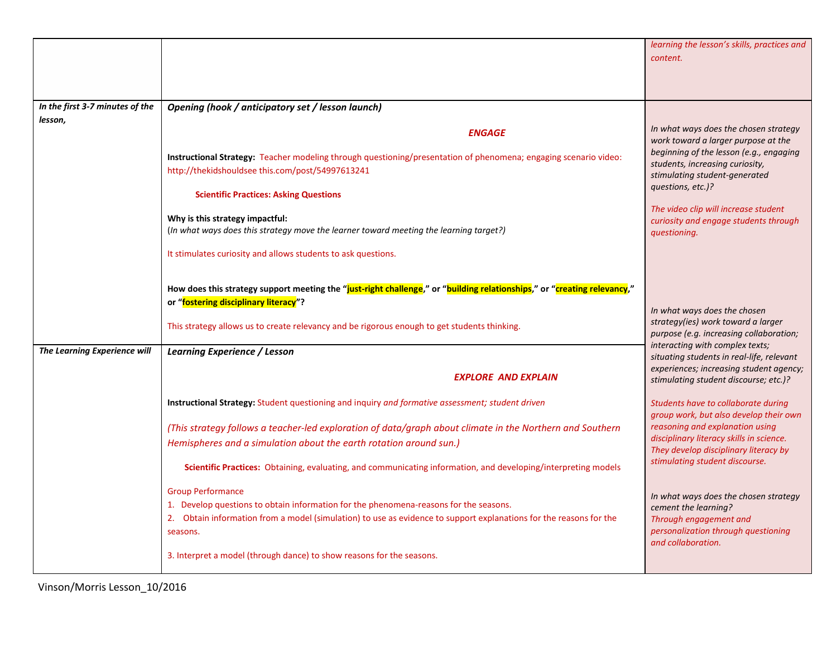|                                     |                                                                                                                                                                                                             | learning the lesson's skills, practices and<br>content.                                                                          |
|-------------------------------------|-------------------------------------------------------------------------------------------------------------------------------------------------------------------------------------------------------------|----------------------------------------------------------------------------------------------------------------------------------|
|                                     |                                                                                                                                                                                                             |                                                                                                                                  |
| In the first 3-7 minutes of the     | Opening (hook / anticipatory set / lesson launch)                                                                                                                                                           |                                                                                                                                  |
| lesson,                             | <b>ENGAGE</b>                                                                                                                                                                                               | In what ways does the chosen strategy<br>work toward a larger purpose at the                                                     |
|                                     | Instructional Strategy: Teacher modeling through questioning/presentation of phenomena; engaging scenario video:<br>http://thekidshouldsee this.com/post/54997613241                                        | beginning of the lesson (e.g., engaging<br>students, increasing curiosity,<br>stimulating student-generated<br>questions, etc.)? |
|                                     | <b>Scientific Practices: Asking Questions</b>                                                                                                                                                               | The video clip will increase student                                                                                             |
|                                     | Why is this strategy impactful:<br>(In what ways does this strategy move the learner toward meeting the learning target?)                                                                                   | curiosity and engage students through<br>questioning.                                                                            |
|                                     | It stimulates curiosity and allows students to ask questions.                                                                                                                                               |                                                                                                                                  |
|                                     | How does this strategy support meeting the "just-right challenge," or "building relationships," or "creating relevancy,"<br>or "fostering disciplinary literacy"?                                           |                                                                                                                                  |
|                                     | This strategy allows us to create relevancy and be rigorous enough to get students thinking.                                                                                                                | In what ways does the chosen<br>strategy(ies) work toward a larger<br>purpose (e.g. increasing collaboration;                    |
| <b>The Learning Experience will</b> | Learning Experience / Lesson                                                                                                                                                                                | interacting with complex texts;<br>situating students in real-life, relevant                                                     |
|                                     | <b>EXPLORE AND EXPLAIN</b>                                                                                                                                                                                  | experiences; increasing student agency;<br>stimulating student discourse; etc.)?                                                 |
|                                     | <b>Instructional Strategy:</b> Student questioning and inquiry and formative assessment; student driven                                                                                                     | Students have to collaborate during<br>group work, but also develop their own                                                    |
|                                     | (This strategy follows a teacher-led exploration of data/graph about climate in the Northern and Southern                                                                                                   | reasoning and explanation using<br>disciplinary literacy skills in science.                                                      |
|                                     | Hemispheres and a simulation about the earth rotation around sun.)                                                                                                                                          | They develop disciplinary literacy by                                                                                            |
|                                     | Scientific Practices: Obtaining, evaluating, and communicating information, and developing/interpreting models                                                                                              | stimulating student discourse.                                                                                                   |
|                                     | <b>Group Performance</b>                                                                                                                                                                                    | In what ways does the chosen strategy                                                                                            |
|                                     | 1. Develop questions to obtain information for the phenomena-reasons for the seasons.<br>2. Obtain information from a model (simulation) to use as evidence to support explanations for the reasons for the | cement the learning?<br>Through engagement and                                                                                   |
|                                     | seasons.                                                                                                                                                                                                    | personalization through questioning<br>and collaboration.                                                                        |
|                                     | 3. Interpret a model (through dance) to show reasons for the seasons.                                                                                                                                       |                                                                                                                                  |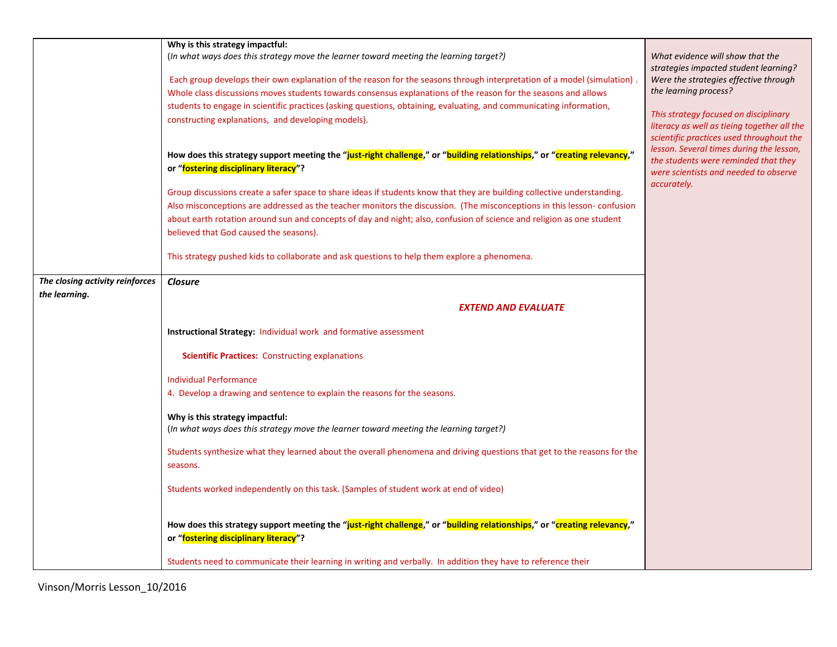|                                                  | Why is this strategy impactful:<br>(In what ways does this strategy move the learner toward meeting the learning target?)<br>Each group develops their own explanation of the reason for the seasons through interpretation of a model (simulation).<br>Whole class discussions moves students towards consensus explanations of the reason for the seasons and allows<br>students to engage in scientific practices (asking questions, obtaining, evaluating, and communicating information,<br>constructing explanations, and developing models).<br>How does this strategy support meeting the "just-right challenge," or "building relationships," or "creating relevancy,"<br>or "fostering disciplinary literacy"?<br>Group discussions create a safer space to share ideas if students know that they are building collective understanding.<br>Also misconceptions are addressed as the teacher monitors the discussion. (The misconceptions in this lesson-confusion<br>about earth rotation around sun and concepts of day and night; also, confusion of science and religion as one student<br>believed that God caused the seasons).<br>This strategy pushed kids to collaborate and ask questions to help them explore a phenomena. | What evidence will show that the<br>strategies impacted student learning?<br>Were the strategies effective through<br>the learning process?<br>This strategy focused on disciplinary<br>literacy as well as tieing together all the<br>scientific practices used throughout the<br>lesson. Several times during the lesson,<br>the students were reminded that they<br>were scientists and needed to observe<br>accurately. |
|--------------------------------------------------|--------------------------------------------------------------------------------------------------------------------------------------------------------------------------------------------------------------------------------------------------------------------------------------------------------------------------------------------------------------------------------------------------------------------------------------------------------------------------------------------------------------------------------------------------------------------------------------------------------------------------------------------------------------------------------------------------------------------------------------------------------------------------------------------------------------------------------------------------------------------------------------------------------------------------------------------------------------------------------------------------------------------------------------------------------------------------------------------------------------------------------------------------------------------------------------------------------------------------------------------------|-----------------------------------------------------------------------------------------------------------------------------------------------------------------------------------------------------------------------------------------------------------------------------------------------------------------------------------------------------------------------------------------------------------------------------|
|                                                  |                                                                                                                                                                                                                                                                                                                                                                                                                                                                                                                                                                                                                                                                                                                                                                                                                                                                                                                                                                                                                                                                                                                                                                                                                                                  |                                                                                                                                                                                                                                                                                                                                                                                                                             |
| The closing activity reinforces<br>the learning. | <b>Closure</b>                                                                                                                                                                                                                                                                                                                                                                                                                                                                                                                                                                                                                                                                                                                                                                                                                                                                                                                                                                                                                                                                                                                                                                                                                                   |                                                                                                                                                                                                                                                                                                                                                                                                                             |
|                                                  | <b>EXTEND AND EVALUATE</b>                                                                                                                                                                                                                                                                                                                                                                                                                                                                                                                                                                                                                                                                                                                                                                                                                                                                                                                                                                                                                                                                                                                                                                                                                       |                                                                                                                                                                                                                                                                                                                                                                                                                             |
|                                                  |                                                                                                                                                                                                                                                                                                                                                                                                                                                                                                                                                                                                                                                                                                                                                                                                                                                                                                                                                                                                                                                                                                                                                                                                                                                  |                                                                                                                                                                                                                                                                                                                                                                                                                             |
|                                                  | <b>Instructional Strategy: Individual work and formative assessment</b>                                                                                                                                                                                                                                                                                                                                                                                                                                                                                                                                                                                                                                                                                                                                                                                                                                                                                                                                                                                                                                                                                                                                                                          |                                                                                                                                                                                                                                                                                                                                                                                                                             |
|                                                  | <b>Scientific Practices: Constructing explanations</b>                                                                                                                                                                                                                                                                                                                                                                                                                                                                                                                                                                                                                                                                                                                                                                                                                                                                                                                                                                                                                                                                                                                                                                                           |                                                                                                                                                                                                                                                                                                                                                                                                                             |
|                                                  | <b>Individual Performance</b>                                                                                                                                                                                                                                                                                                                                                                                                                                                                                                                                                                                                                                                                                                                                                                                                                                                                                                                                                                                                                                                                                                                                                                                                                    |                                                                                                                                                                                                                                                                                                                                                                                                                             |
|                                                  | 4. Develop a drawing and sentence to explain the reasons for the seasons.                                                                                                                                                                                                                                                                                                                                                                                                                                                                                                                                                                                                                                                                                                                                                                                                                                                                                                                                                                                                                                                                                                                                                                        |                                                                                                                                                                                                                                                                                                                                                                                                                             |
|                                                  |                                                                                                                                                                                                                                                                                                                                                                                                                                                                                                                                                                                                                                                                                                                                                                                                                                                                                                                                                                                                                                                                                                                                                                                                                                                  |                                                                                                                                                                                                                                                                                                                                                                                                                             |
|                                                  | Why is this strategy impactful:<br>(In what ways does this strategy move the learner toward meeting the learning target?)                                                                                                                                                                                                                                                                                                                                                                                                                                                                                                                                                                                                                                                                                                                                                                                                                                                                                                                                                                                                                                                                                                                        |                                                                                                                                                                                                                                                                                                                                                                                                                             |
|                                                  |                                                                                                                                                                                                                                                                                                                                                                                                                                                                                                                                                                                                                                                                                                                                                                                                                                                                                                                                                                                                                                                                                                                                                                                                                                                  |                                                                                                                                                                                                                                                                                                                                                                                                                             |
|                                                  | Students synthesize what they learned about the overall phenomena and driving questions that get to the reasons for the<br>seasons.                                                                                                                                                                                                                                                                                                                                                                                                                                                                                                                                                                                                                                                                                                                                                                                                                                                                                                                                                                                                                                                                                                              |                                                                                                                                                                                                                                                                                                                                                                                                                             |
|                                                  | Students worked independently on this task. (Samples of student work at end of video)                                                                                                                                                                                                                                                                                                                                                                                                                                                                                                                                                                                                                                                                                                                                                                                                                                                                                                                                                                                                                                                                                                                                                            |                                                                                                                                                                                                                                                                                                                                                                                                                             |
|                                                  | How does this strategy support meeting the "just-right challenge," or "building relationships," or "creating relevancy,"<br>or "fostering disciplinary literacy"?                                                                                                                                                                                                                                                                                                                                                                                                                                                                                                                                                                                                                                                                                                                                                                                                                                                                                                                                                                                                                                                                                |                                                                                                                                                                                                                                                                                                                                                                                                                             |
|                                                  | Students need to communicate their learning in writing and verbally. In addition they have to reference their                                                                                                                                                                                                                                                                                                                                                                                                                                                                                                                                                                                                                                                                                                                                                                                                                                                                                                                                                                                                                                                                                                                                    |                                                                                                                                                                                                                                                                                                                                                                                                                             |

Vinson/Morris Lesson\_10/2016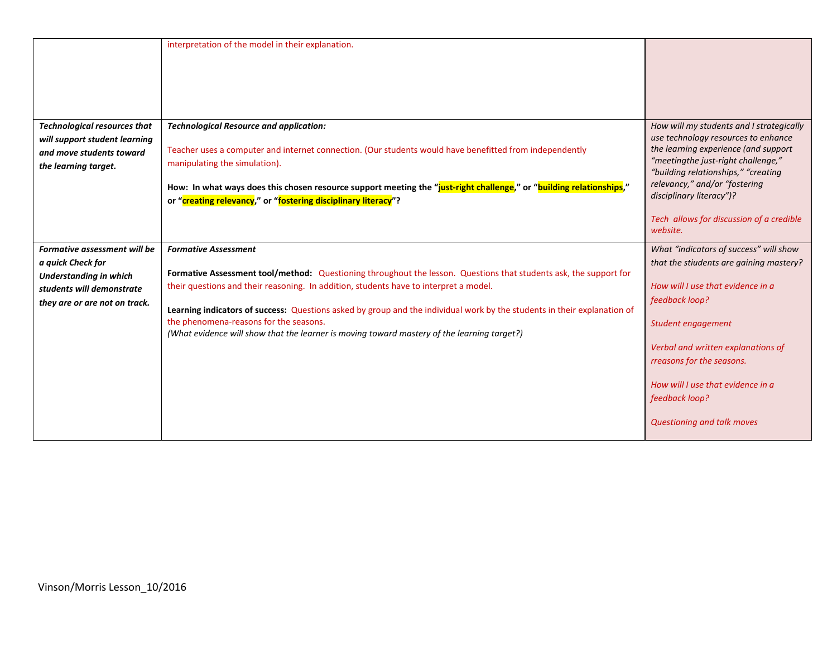|                                     | interpretation of the model in their explanation.                                                                        |                                                                           |
|-------------------------------------|--------------------------------------------------------------------------------------------------------------------------|---------------------------------------------------------------------------|
| <b>Technological resources that</b> | <b>Technological Resource and application:</b>                                                                           | How will my students and I strategically                                  |
| will support student learning       |                                                                                                                          | use technology resources to enhance                                       |
| and move students toward            | Teacher uses a computer and internet connection. (Our students would have benefitted from independently                  | the learning experience (and support                                      |
| the learning target.                | manipulating the simulation).                                                                                            | "meetingthe just-right challenge,"<br>"building relationships," "creating |
|                                     | How: In what ways does this chosen resource support meeting the "just-right challenge," or "building relationships,"     | relevancy," and/or "fostering                                             |
|                                     | or "creating relevancy," or "fostering disciplinary literacy"?                                                           | disciplinary literacy")?                                                  |
|                                     |                                                                                                                          | Tech allows for discussion of a credible<br>website.                      |
| Formative assessment will be        | <b>Formative Assessment</b>                                                                                              | What "indicators of success" will show                                    |
|                                     |                                                                                                                          |                                                                           |
| a quick Check for                   |                                                                                                                          | that the stiudents are gaining mastery?                                   |
| <b>Understanding in which</b>       | Formative Assessment tool/method: Questioning throughout the lesson. Questions that students ask, the support for        |                                                                           |
| students will demonstrate           | their questions and their reasoning. In addition, students have to interpret a model.                                    | How will I use that evidence in a                                         |
| they are or are not on track.       | Learning indicators of success: Questions asked by group and the individual work by the students in their explanation of | feedback loop?                                                            |
|                                     | the phenomena-reasons for the seasons.                                                                                   | Student engagement                                                        |
|                                     | (What evidence will show that the learner is moving toward mastery of the learning target?)                              | Verbal and written explanations of<br>rreasons for the seasons.           |
|                                     |                                                                                                                          | How will I use that evidence in a<br>feedback loop?                       |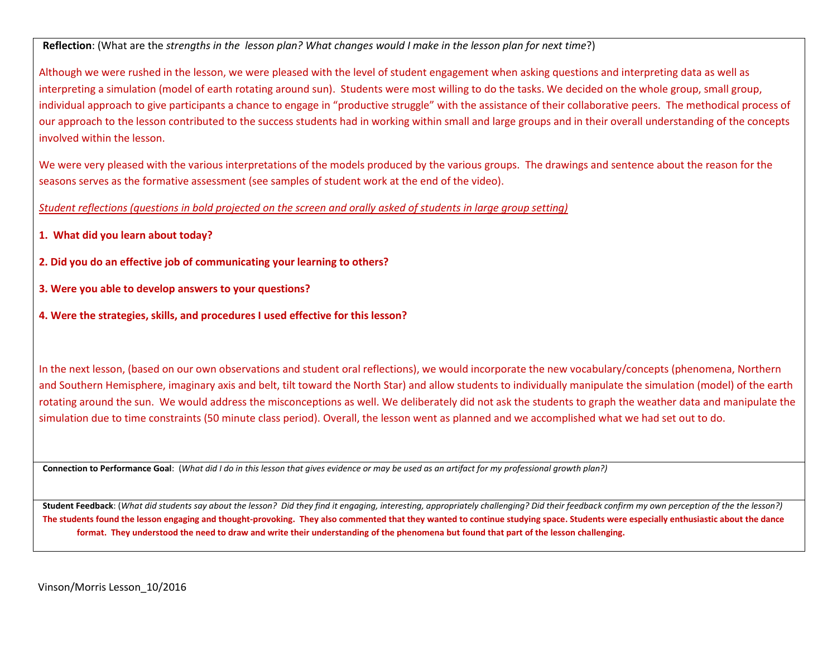**Reflection**: (What are the *strengths in the lesson plan? What changes would I make in the lesson plan for next time*?)

Although we were rushed in the lesson, we were pleased with the level of student engagement when asking questions and interpreting data as well as interpreting a simulation (model of earth rotating around sun). Students were most willing to do the tasks. We decided on the whole group, small group, individual approach to give participants a chance to engage in "productive struggle" with the assistance of their collaborative peers. The methodical process of our approach to the lesson contributed to the success students had in working within small and large groups and in their overall understanding of the concepts involved within the lesson.

We were very pleased with the various interpretations of the models produced by the various groups. The drawings and sentence about the reason for the seasons serves as the formative assessment (see samples of student work at the end of the video).

*Student reflections (questions in bold projected on the screen and orally asked of students in large group setting)*

- **1. What did you learn about today?**
- **2. Did you do an effective job of communicating your learning to others?**
- **3. Were you able to develop answers to your questions?**
- **4. Were the strategies, skills, and procedures I used effective for this lesson?**

In the next lesson, (based on our own observations and student oral reflections), we would incorporate the new vocabulary/concepts (phenomena, Northern and Southern Hemisphere, imaginary axis and belt, tilt toward the North Star) and allow students to individually manipulate the simulation (model) of the earth rotating around the sun. We would address the misconceptions as well. We deliberately did not ask the students to graph the weather data and manipulate the simulation due to time constraints (50 minute class period). Overall, the lesson went as planned and we accomplished what we had set out to do.

**Connection to Performance Goal**: (*What did I do in this lesson that gives evidence or may be used as an artifact for my professional growth plan?)*

**Student Feedback**: (*What did students say about the lesson? Did they find it engaging, interesting, appropriately challenging? Did their feedback confirm my own perception of the the lesson?)* **The students found the lesson engaging and thought-provoking. They also commented that they wanted to continue studying space. Students were especially enthusiastic about the dance format. They understood the need to draw and write their understanding of the phenomena but found that part of the lesson challenging.**